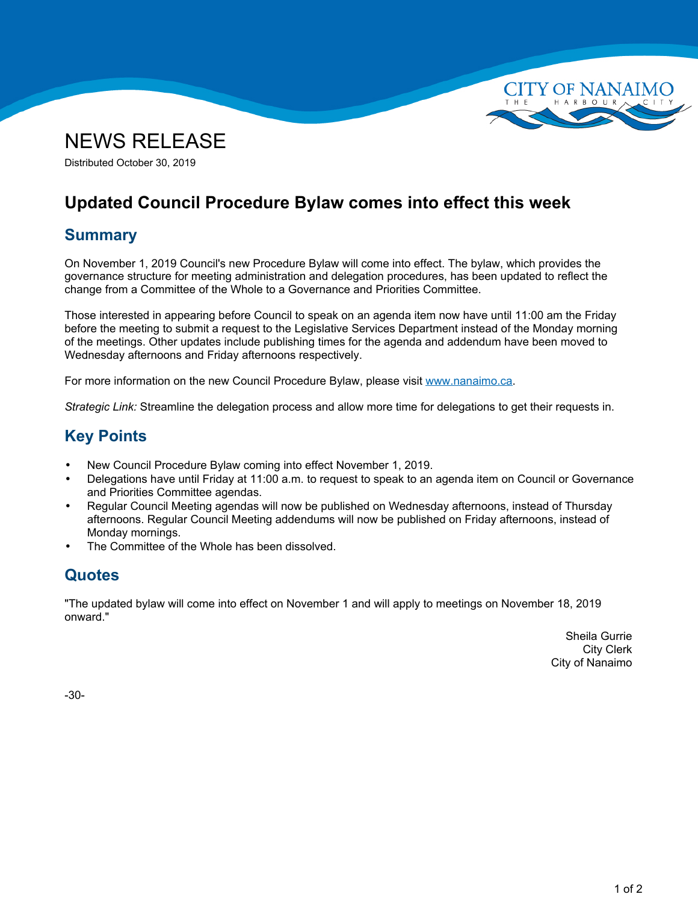



Distributed October 30, 2019

# **Updated Council Procedure Bylaw comes into effect this week**

## **Summary**

On November 1, 2019 Council's new Procedure Bylaw will come into effect. The bylaw, which provides the governance structure for meeting administration and delegation procedures, has been updated to reflect the change from <sup>a</sup> Committee of the Whole to <sup>a</sup> Governance and Priorities Committee.

Those interested in appearing before Council to speak on an agenda item now have until 11:00 am the Friday before the meeting to submit <sup>a</sup> request to the Legislative Services Department instead of the Monday morning of the meetings. Other updates include publishing times for the agenda and addendum have been moved to Wednesday afternoons and Friday afternoons respectively.

For more information on the new Council Procedure Bylaw, please visit [www.nanaimo.ca](https://www.nanaimo.ca).

*Strategic Link:* Streamline the delegation process and allow more time for delegations to get their requests in.

# **Key Points**

- •New Council Procedure Bylaw coming into effect November 1, 2019.
- • Delegations have until Friday at 11:00 a.m. to request to speak to an agenda item on Council or Governance and Priorities Committee agendas.
- • Regular Council Meeting agendas will now be published on Wednesday afternoons, instead of Thursday afternoons. Regular Council Meeting addendums will now be published on Friday afternoons, instead of Monday mornings.
- •The Committee of the Whole has been dissolved.

### **Quotes**

"The updated bylaw will come into effect on November 1 and will apply to meetings on November 18, 2019 onward."

> Sheila Gurrie City Clerk City of Nanaimo

-30-